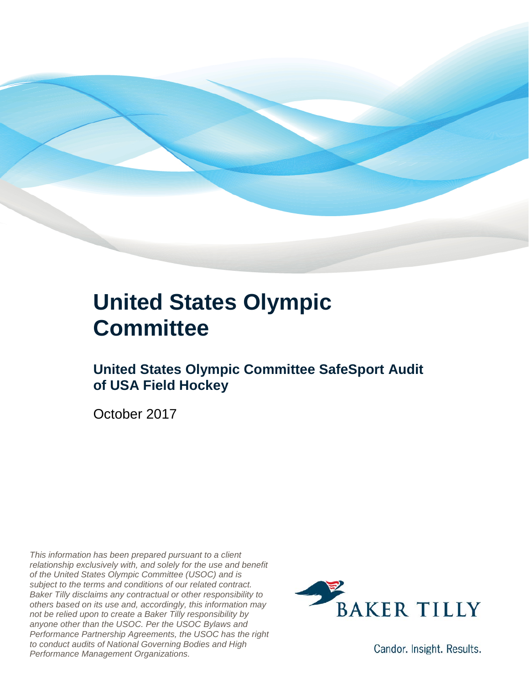

### **United States Olympic Committee**

### **United States Olympic Committee SafeSport Audit of USA Field Hockey**

October 2017

*This information has been prepared pursuant to a client relationship exclusively with, and solely for the use and benefit of the United States Olympic Committee (USOC) and is subject to the terms and conditions of our related contract. Baker Tilly disclaims any contractual or other responsibility to others based on its use and, accordingly, this information may not be relied upon to create a Baker Tilly responsibility by anyone other than the USOC. Per the USOC Bylaws and Performance Partnership Agreements, the USOC has the right to conduct audits of National Governing Bodies and High Performance Management Organizations.*



Candor. Insight. Results.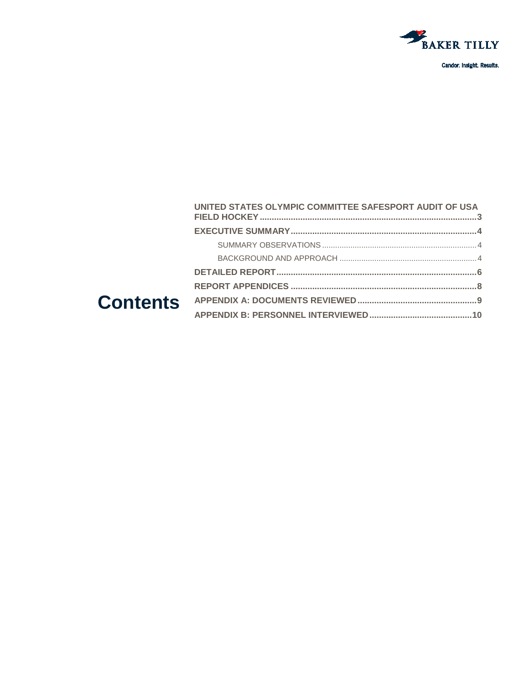

#### UNITED STATES OLYMPIC COMMITTEE SAFESPORT AUDIT OF USA **Contents**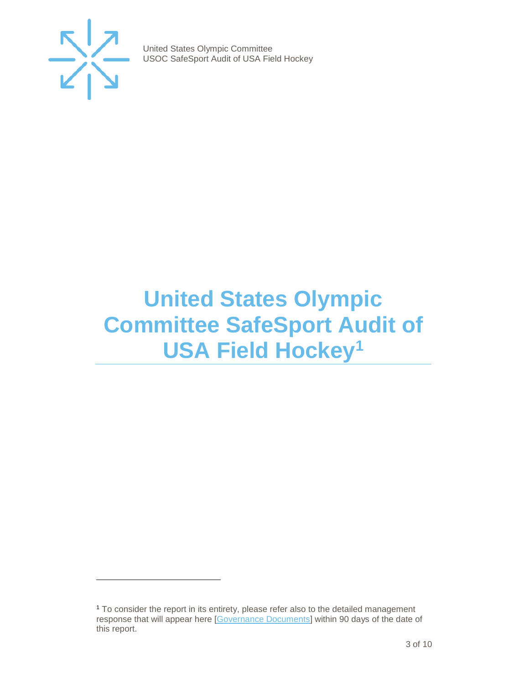

j

United States Olympic Committee USOC SafeSport Audit of USA Field Hockey

## <span id="page-2-0"></span>**United States Olympic Committee SafeSport Audit of USA Field Hockey[1](#page-2-1)**

<span id="page-2-1"></span><sup>1</sup> To consider the report in its entirety, please refer also to the detailed management response that will appear here [\[Governance Documents\]](https://www.teamusa.org/Footer/Legal/Governance-Documents) within 90 days of the date of this report.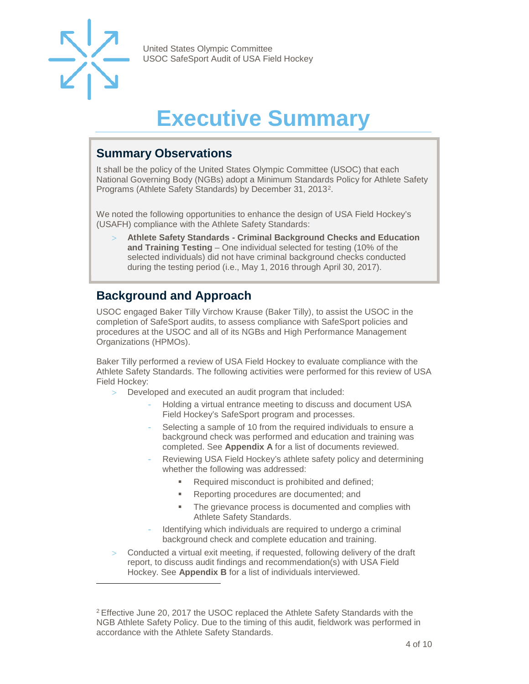

-

United States Olympic Committee USOC SafeSport Audit of USA Field Hockey

## **Executive Summary**

#### <span id="page-3-1"></span><span id="page-3-0"></span>**Summary Observations**

It shall be the policy of the United States Olympic Committee (USOC) that each National Governing Body (NGBs) adopt a Minimum Standards Policy for Athlete Safety Programs (Athlete Safety Standards) by December 31, 2013[2](#page-3-4).

We noted the following opportunities to enhance the design of USA Field Hockey's (USAFH) compliance with the Athlete Safety Standards:

> **Athlete Safety Standards - Criminal Background Checks and Education and Training Testing** – One individual selected for testing (10% of the selected individuals) did not have criminal background checks conducted during the testing period (i.e., May 1, 2016 through April 30, 2017).

#### <span id="page-3-2"></span>**Background and Approach**

<span id="page-3-3"></span>USOC engaged Baker Tilly Virchow Krause (Baker Tilly), to assist the USOC in the completion of SafeSport audits, to assess compliance with SafeSport policies and procedures at the USOC and all of its NGBs and High Performance Management Organizations (HPMOs).

Baker Tilly performed a review of USA Field Hockey to evaluate compliance with the Athlete Safety Standards. The following activities were performed for this review of USA Field Hockey:

- > Developed and executed an audit program that included:
	- Holding a virtual entrance meeting to discuss and document USA Field Hockey's SafeSport program and processes.
	- Selecting a sample of 10 from the required individuals to ensure a background check was performed and education and training was completed. See **Appendix A** for a list of documents reviewed.
	- Reviewing USA Field Hockey's athlete safety policy and determining whether the following was addressed:
		- Required misconduct is prohibited and defined;
		- **Reporting procedures are documented; and**
		- **The grievance process is documented and complies with** Athlete Safety Standards.
	- Identifying which individuals are required to undergo a criminal background check and complete education and training.
- Conducted a virtual exit meeting, if requested, following delivery of the draft report, to discuss audit findings and recommendation(s) with USA Field Hockey. See **Appendix B** for a list of individuals interviewed.

<span id="page-3-4"></span><sup>2</sup> Effective June 20, 2017 the USOC replaced the Athlete Safety Standards with the NGB Athlete Safety Policy. Due to the timing of this audit, fieldwork was performed in accordance with the Athlete Safety Standards.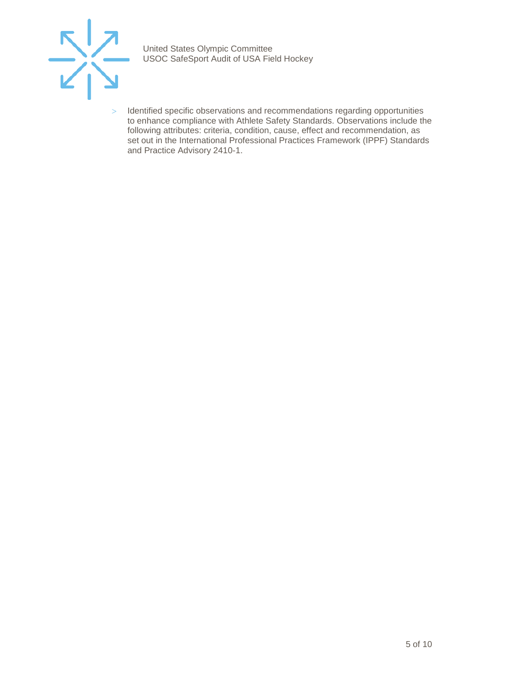

> Identified specific observations and recommendations regarding opportunities to enhance compliance with Athlete Safety Standards. Observations include the following attributes: criteria, condition, cause, effect and recommendation, as set out in the International Professional Practices Framework (IPPF) Standards and Practice Advisory 2410-1.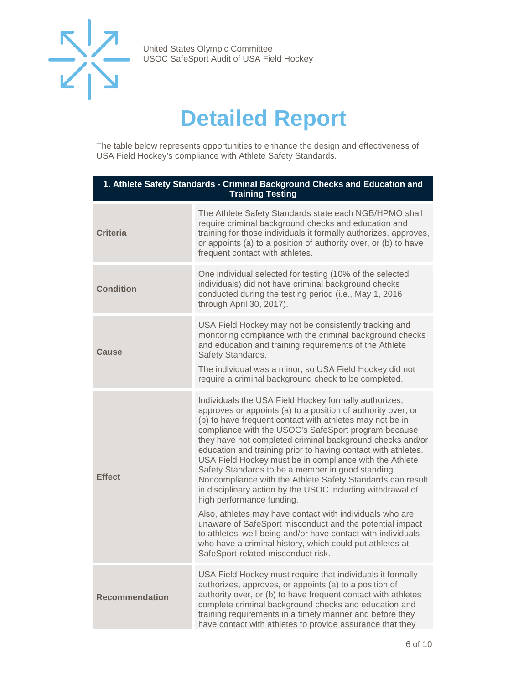

## **Detailed Report**

The table below represents opportunities to enhance the design and effectiveness of USA Field Hockey's compliance with Athlete Safety Standards.

| 1. Athlete Safety Standards - Criminal Background Checks and Education and<br><b>Training Testing</b> |                                                                                                                                                                                                                                                                                                                                                                                                                                                                                                                                                                                                                                                                                                                                                                                                                                                                                                                                            |
|-------------------------------------------------------------------------------------------------------|--------------------------------------------------------------------------------------------------------------------------------------------------------------------------------------------------------------------------------------------------------------------------------------------------------------------------------------------------------------------------------------------------------------------------------------------------------------------------------------------------------------------------------------------------------------------------------------------------------------------------------------------------------------------------------------------------------------------------------------------------------------------------------------------------------------------------------------------------------------------------------------------------------------------------------------------|
| <b>Criteria</b>                                                                                       | The Athlete Safety Standards state each NGB/HPMO shall<br>require criminal background checks and education and<br>training for those individuals it formally authorizes, approves,<br>or appoints (a) to a position of authority over, or (b) to have<br>frequent contact with athletes.                                                                                                                                                                                                                                                                                                                                                                                                                                                                                                                                                                                                                                                   |
| <b>Condition</b>                                                                                      | One individual selected for testing (10% of the selected<br>individuals) did not have criminal background checks<br>conducted during the testing period (i.e., May 1, 2016<br>through April 30, 2017).                                                                                                                                                                                                                                                                                                                                                                                                                                                                                                                                                                                                                                                                                                                                     |
| Cause                                                                                                 | USA Field Hockey may not be consistently tracking and<br>monitoring compliance with the criminal background checks<br>and education and training requirements of the Athlete<br>Safety Standards.<br>The individual was a minor, so USA Field Hockey did not<br>require a criminal background check to be completed.                                                                                                                                                                                                                                                                                                                                                                                                                                                                                                                                                                                                                       |
| <b>Effect</b>                                                                                         | Individuals the USA Field Hockey formally authorizes,<br>approves or appoints (a) to a position of authority over, or<br>(b) to have frequent contact with athletes may not be in<br>compliance with the USOC's SafeSport program because<br>they have not completed criminal background checks and/or<br>education and training prior to having contact with athletes.<br>USA Field Hockey must be in compliance with the Athlete<br>Safety Standards to be a member in good standing.<br>Noncompliance with the Athlete Safety Standards can result<br>in disciplinary action by the USOC including withdrawal of<br>high performance funding.<br>Also, athletes may have contact with individuals who are<br>unaware of SafeSport misconduct and the potential impact<br>to athletes' well-being and/or have contact with individuals<br>who have a criminal history, which could put athletes at<br>SafeSport-related misconduct risk. |
| <b>Recommendation</b>                                                                                 | USA Field Hockey must require that individuals it formally<br>authorizes, approves, or appoints (a) to a position of<br>authority over, or (b) to have frequent contact with athletes<br>complete criminal background checks and education and<br>training requirements in a timely manner and before they<br>have contact with athletes to provide assurance that they                                                                                                                                                                                                                                                                                                                                                                                                                                                                                                                                                                    |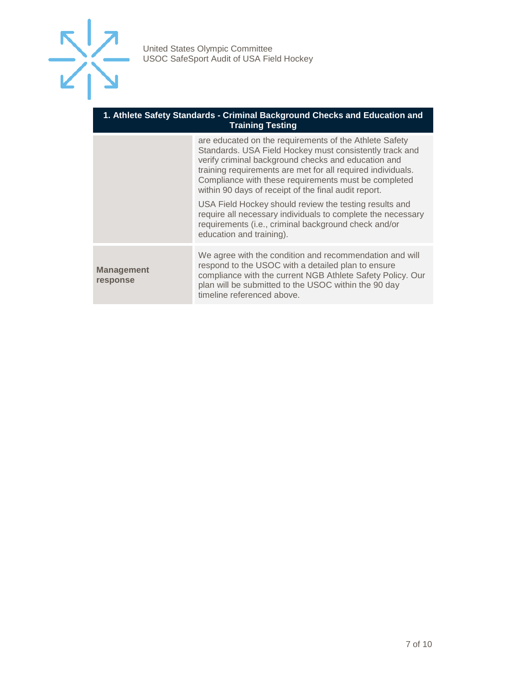

| 1. Athlete Safety Standards - Criminal Background Checks and Education and<br><b>Training Testing</b> |                                                                                                                                                                                                                                                                                                                                                         |
|-------------------------------------------------------------------------------------------------------|---------------------------------------------------------------------------------------------------------------------------------------------------------------------------------------------------------------------------------------------------------------------------------------------------------------------------------------------------------|
|                                                                                                       | are educated on the requirements of the Athlete Safety<br>Standards. USA Field Hockey must consistently track and<br>verify criminal background checks and education and<br>training requirements are met for all required individuals.<br>Compliance with these requirements must be completed<br>within 90 days of receipt of the final audit report. |
|                                                                                                       | USA Field Hockey should review the testing results and<br>require all necessary individuals to complete the necessary<br>requirements (i.e., criminal background check and/or<br>education and training).                                                                                                                                               |
| <b>Management</b><br>response                                                                         | We agree with the condition and recommendation and will<br>respond to the USOC with a detailed plan to ensure<br>compliance with the current NGB Athlete Safety Policy. Our<br>plan will be submitted to the USOC within the 90 day<br>timeline referenced above.                                                                                       |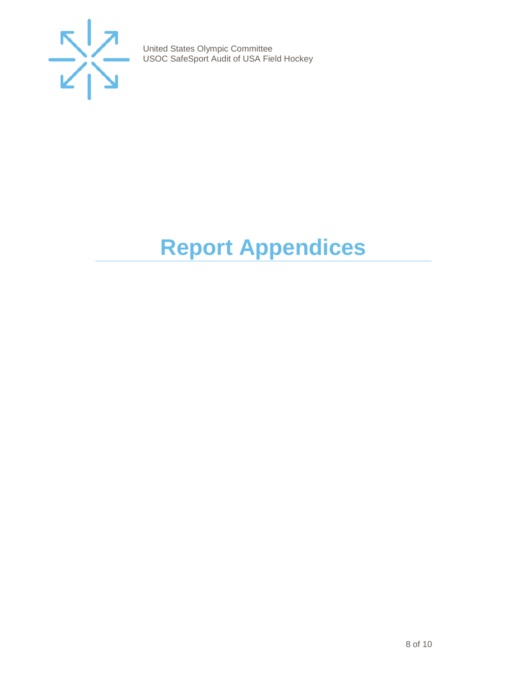

# <span id="page-7-0"></span>**Report Appendices**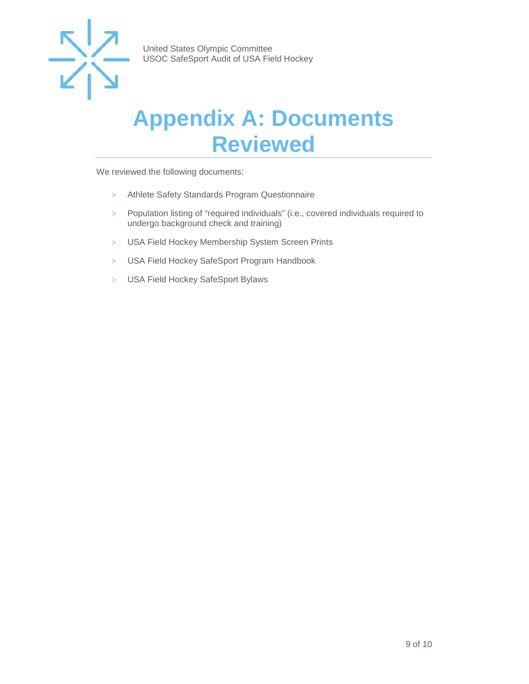

## <span id="page-8-0"></span>**Appendix A: Documents Reviewed**

We reviewed the following documents:

- > Athlete Safety Standards Program Questionnaire
- > Population listing of "required individuals" (i.e., covered individuals required to undergo background check and training)
- > USA Field Hockey Membership System Screen Prints
- > USA Field Hockey SafeSport Program Handbook
- > USA Field Hockey SafeSport Bylaws